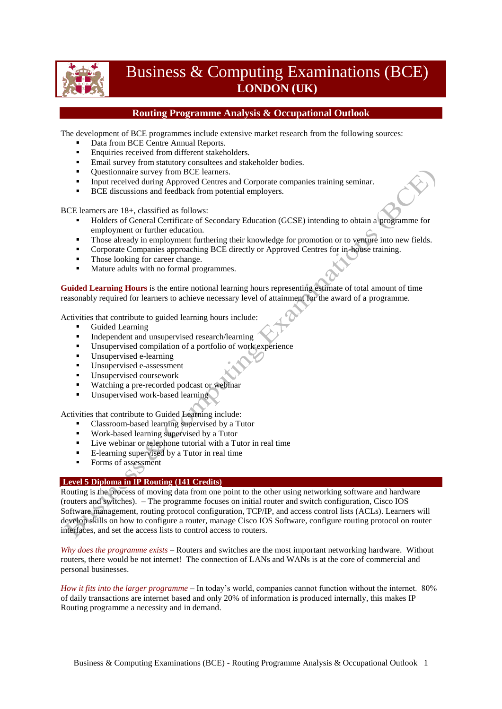

# Business & Computing Examinations (BCE) **LONDON (UK)**

## **Routing Programme Analysis & Occupational Outlook**

The development of BCE programmes include extensive market research from the following sources:

- Data from BCE Centre Annual Reports.
- **Enquiries received from different stakeholders.**
- **Email survey from statutory consultees and stakeholder bodies.**
- Ouestionnaire survey from BCE learners.
- Input received during Approved Centres and Corporate companies training seminar.
- **BCE** discussions and feedback from potential employers.

BCE learners are 18+, classified as follows:

- Holders of General Certificate of Secondary Education (GCSE) intending to obtain a programme for employment or further education.
- Those already in employment furthering their knowledge for promotion or to venture into new fields.
- **Corporate Companies approaching BCE directly or Approved Centres for in-house training.**
- Those looking for career change.
- Mature adults with no formal programmes.

**Guided Learning Hours** is the entire notional learning hours representing estimate of total amount of time reasonably required for learners to achieve necessary level of attainment for the award of a programme.

Activities that contribute to guided learning hours include:

- Guided Learning
- Independent and unsupervised research/learning<br>Insupervised compilation of a portfolio of work
- Unsupervised compilation of a portfolio of work experience
- **Unsupervised e-learning**
- Unsupervised e-assessment
- Unsupervised coursework
- Watching a pre-recorded podcast or webinar
- Unsupervised work-based learning

Activities that contribute to Guided Learning include:

- Classroom-based learning supervised by a Tutor
- Work-based learning supervised by a Tutor
- Live webinar or telephone tutorial with a Tutor in real time
- E-learning supervised by a Tutor in real time
- Forms of assessment

## **Level 5 Diploma in IP Routing (141 Credits)**

Routing is the process of moving data from one point to the other using networking software and hardware (routers and switches). – The programme focuses on initial router and switch configuration, Cisco IOS Software management, routing protocol configuration, TCP/IP, and access control lists (ACLs). Learners will develop skills on how to configure a router, manage Cisco IOS Software, configure routing protocol on router interfaces, and set the access lists to control access to routers.

*Why does the programme exists* – Routers and switches are the most important networking hardware. Without routers, there would be not internet! The connection of LANs and WANs is at the core of commercial and personal businesses.

*How it fits into the larger programme* – In today's world, companies cannot function without the internet. 80% of daily transactions are internet based and only 20% of information is produced internally, this makes IP Routing programme a necessity and in demand.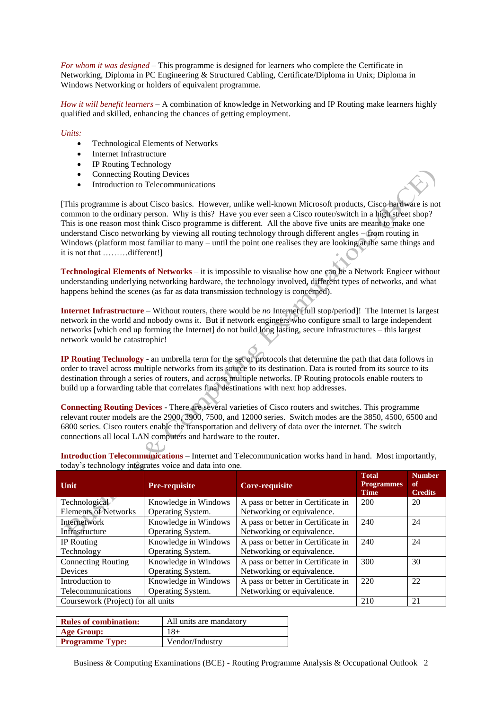*For whom it was designed* – This programme is designed for learners who complete the Certificate in Networking, Diploma in PC Engineering & Structured Cabling, Certificate/Diploma in Unix; Diploma in Windows Networking or holders of equivalent programme.

*How it will benefit learners* – A combination of knowledge in Networking and IP Routing make learners highly qualified and skilled, enhancing the chances of getting employment.

## *Units:*

- Technological Elements of Networks
- Internet Infrastructure
- IP Routing Technology
- Connecting Routing Devices
- Introduction to Telecommunications

[This programme is about Cisco basics. However, unlike well-known Microsoft products, Cisco hardware is not common to the ordinary person. Why is this? Have you ever seen a Cisco router/switch in a high street shop? This is one reason most think Cisco programme is different. All the above five units are meant to make one understand Cisco networking by viewing all routing technology through different angles – from routing in Windows (platform most familiar to many – until the point one realises they are looking at the same things and it is not that ………different!]

**Technological Elements of Networks** – it is impossible to visualise how one can be a Network Engieer without understanding underlying networking hardware, the technology involved, different types of networks, and what happens behind the scenes (as far as data transmission technology is concerned).

**Internet Infrastructure** – Without routers, there would be *no* Internet [full stop/period]! The Internet is largest network in the world and nobody owns it. But if network engineers who configure small to large independent networks [which end up forming the Internet] do not build long lasting, secure infrastructures – this largest network would be catastrophic!

**IP Routing Technology** - an umbrella term for the set of protocols that determine the path that data follows in order to travel across multiple networks from its source to its destination. Data is routed from its source to its destination through a series of routers, and across multiple networks. IP Routing protocols enable routers to build up a forwarding table that correlates final destinations with next hop addresses.

**Connecting Routing Devices** - There are several varieties of Cisco routers and switches. This programme relevant router models are the 2900, 3900, 7500, and 12000 series. Switch modes are the 3850, 4500, 6500 and 6800 series. Cisco routers enable the transportation and delivery of data over the internet. The switch connections all local LAN computers and hardware to the router.

| Unit                               | <b>Pre-requisite</b> | Core-requisite                     | <b>Total</b><br><b>Programmes</b><br><b>Time</b> | <b>Number</b><br>of<br><b>Credits</b> |
|------------------------------------|----------------------|------------------------------------|--------------------------------------------------|---------------------------------------|
| Technological                      | Knowledge in Windows | A pass or better in Certificate in | 200                                              | 20                                    |
| <b>Elements of Networks</b>        | Operating System.    | Networking or equivalence.         |                                                  |                                       |
| Internetwork                       | Knowledge in Windows | A pass or better in Certificate in | 240                                              | 24                                    |
| Infrastructure                     | Operating System.    | Networking or equivalence.         |                                                  |                                       |
| IP Routing                         | Knowledge in Windows | A pass or better in Certificate in | 240                                              | 24                                    |
| Technology                         | Operating System.    | Networking or equivalence.         |                                                  |                                       |
| <b>Connecting Routing</b>          | Knowledge in Windows | A pass or better in Certificate in | 300                                              | 30                                    |
| Devices                            | Operating System.    | Networking or equivalence.         |                                                  |                                       |
| Introduction to                    | Knowledge in Windows | A pass or better in Certificate in | 220                                              | 22                                    |
| Telecommunications                 | Operating System.    | Networking or equivalence.         |                                                  |                                       |
| Coursework (Project) for all units |                      |                                    | 210                                              | 21                                    |

**Introduction Telecommunications** – Internet and Telecommunication works hand in hand. Most importantly, today's technology integrates voice and data into one.

| <b>Rules of combination:</b> | All units are mandatory |
|------------------------------|-------------------------|
| <b>Age Group:</b>            | $18+$                   |
| <b>Programme Type:</b>       | Vendor/Industry         |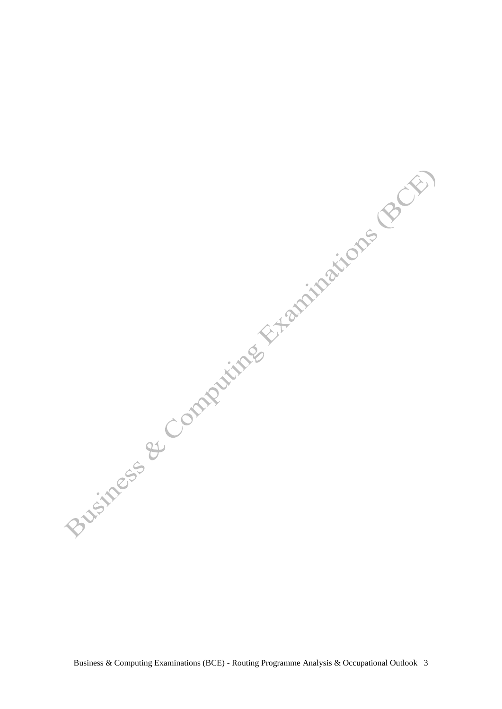Business & Computing Examinations (BCE)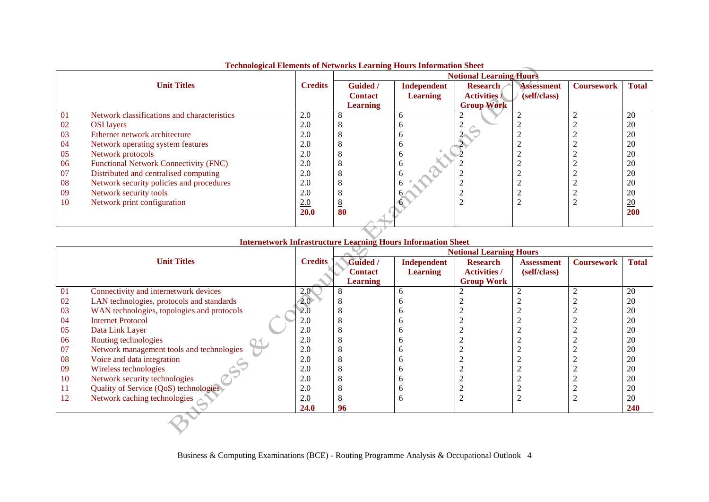|    |                                              |                |                 |                 | <b>Notional Learning Hours</b> |                   |                   |                  |
|----|----------------------------------------------|----------------|-----------------|-----------------|--------------------------------|-------------------|-------------------|------------------|
|    | <b>Unit Titles</b>                           | <b>Credits</b> | <b>Guided</b> / | Independent     | <b>Research</b>                | <b>Assessment</b> | <b>Coursework</b> | <b>Total</b>     |
|    |                                              |                | <b>Contact</b>  | <b>Learning</b> | <b>Activities /</b>            | (self/class)      |                   |                  |
|    |                                              |                | <b>Learning</b> |                 | <b>Group Work</b>              |                   |                   |                  |
| 01 | Network classifications and characteristics  | 2.0            |                 |                 |                                |                   |                   | 20               |
| 02 | <b>OSI</b> layers                            | 2.0            |                 |                 |                                |                   |                   | 20               |
| 03 | Ethernet network architecture                | 2.0            |                 |                 |                                |                   |                   | 20               |
| 04 | Network operating system features            | 2.0            |                 | n               |                                |                   |                   | 20               |
| 05 | Network protocols                            | 2.0            |                 |                 |                                |                   |                   | 20               |
| 06 | <b>Functional Network Connectivity (FNC)</b> | 2.0            |                 | n               |                                |                   |                   | 20               |
| 07 | Distributed and centralised computing        | 2.0            |                 |                 |                                |                   |                   | 20               |
| 08 | Network security policies and procedures     | 2.0            |                 |                 |                                |                   |                   | 20               |
| 09 | Network security tools                       | 2.0            |                 |                 |                                |                   |                   | 20               |
| 10 | Network print configuration                  | 2.0            | ∘               |                 |                                |                   |                   | $\underline{20}$ |
|    |                                              | <b>20.0</b>    | 80              |                 |                                |                   |                   | <b>200</b>       |
|    |                                              |                |                 |                 |                                |                   |                   |                  |

## **Technological Elements of Networks Learning Hours Information Sheet**

## **Internetwork Infrastructure Learning Hours Information Sheet**

|    |                                            |                |                 |                 | <b>Notional Learning Hours</b> |                   |                   |                  |
|----|--------------------------------------------|----------------|-----------------|-----------------|--------------------------------|-------------------|-------------------|------------------|
|    | <b>Unit Titles</b>                         | <b>Credits</b> | <b>Guided</b> / | Independent     | <b>Research</b>                | <b>Assessment</b> | <b>Coursework</b> | <b>Total</b>     |
|    |                                            |                | <b>Contact</b>  | <b>Learning</b> | <b>Activities /</b>            | (self/class)      |                   |                  |
|    |                                            |                | <b>Learning</b> |                 | <b>Group Work</b>              |                   |                   |                  |
| 01 | Connectivity and internetwork devices      | $2.0^{\circ}$  | 8               |                 |                                |                   |                   | 20               |
| 02 | LAN technologies, protocols and standards  | $2.0^\circ$    |                 |                 |                                |                   |                   | 20               |
| 03 | WAN technologies, topologies and protocols | 2.0            |                 |                 |                                |                   |                   | 20               |
| 04 | <b>Internet Protocol</b>                   | 2.0            |                 |                 |                                |                   |                   | 20               |
| 05 | Data Link Layer                            | 2.0            |                 |                 |                                |                   |                   | 20               |
| 06 | Routing technologies                       | 2.0            |                 |                 |                                |                   |                   | 20               |
| 07 | Network management tools and technologies  | 2.0            |                 |                 |                                |                   |                   | 20               |
| 08 | Voice and data integration                 | 2.0            |                 |                 |                                |                   |                   | 20               |
| 09 | Wireless technologies                      | 2.0            |                 |                 |                                |                   |                   | 20               |
| 10 | Network security technologies              | 2.0            |                 |                 |                                |                   |                   | 20               |
|    | Quality of Service (QoS) technologies      | 2.0            |                 |                 |                                |                   |                   | 20               |
| 12 | Network caching technologies               | 2.0            |                 | n               |                                |                   |                   | $\underline{20}$ |
|    |                                            | <b>24.0</b>    | 96              |                 |                                |                   |                   | <b>240</b>       |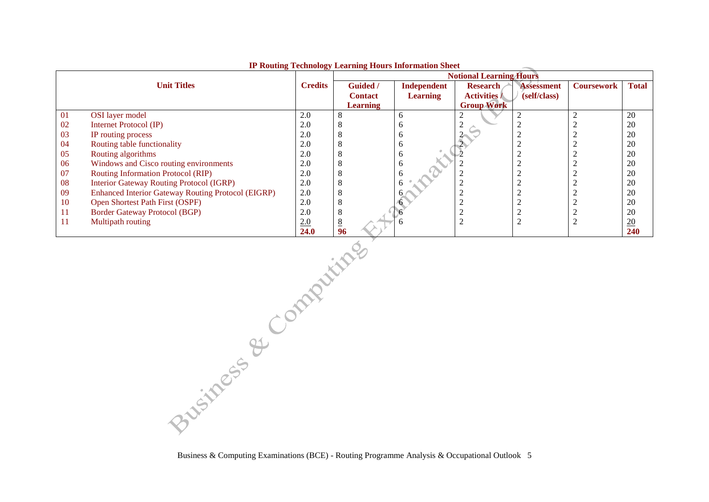|    |                                                           |                | In Avuung Teenhology Eeurinng Hours Information Sheet |                 |                                |                   |                   |                  |
|----|-----------------------------------------------------------|----------------|-------------------------------------------------------|-----------------|--------------------------------|-------------------|-------------------|------------------|
|    |                                                           |                |                                                       |                 | <b>Notional Learning Hours</b> |                   |                   |                  |
|    | <b>Unit Titles</b>                                        | <b>Credits</b> | Guided /                                              | Independent     | Research                       | <b>Assessment</b> | <b>Coursework</b> | <b>Total</b>     |
|    |                                                           |                | <b>Contact</b>                                        | <b>Learning</b> | <b>Activities /</b>            | (self/class)      |                   |                  |
|    |                                                           |                | <b>Learning</b>                                       |                 | <b>Group Work</b>              |                   |                   |                  |
| 01 | <b>OSI</b> layer model                                    | 2.0            | 8                                                     | n               |                                |                   |                   | 20               |
| 02 | Internet Protocol (IP)                                    | 2.0            |                                                       |                 |                                |                   |                   | 20               |
| 03 | IP routing process                                        | 2.0            |                                                       |                 |                                |                   |                   | 20               |
| 04 | Routing table functionality                               | 2.0            |                                                       | n               |                                |                   |                   | 20               |
| 05 | Routing algorithms                                        | 2.0            |                                                       | n               |                                |                   |                   | 20               |
| 06 | Windows and Cisco routing environments                    | 2.0            |                                                       |                 |                                |                   |                   | 20               |
| 07 | <b>Routing Information Protocol (RIP)</b>                 | 2.0            |                                                       |                 |                                |                   |                   | 20               |
| 08 | <b>Interior Gateway Routing Protocol (IGRP)</b>           | 2.0            |                                                       |                 |                                |                   |                   | 20               |
| 09 | <b>Enhanced Interior Gateway Routing Protocol (EIGRP)</b> | 2.0            |                                                       |                 |                                |                   |                   | 20               |
| 10 | Open Shortest Path First (OSPF)                           | 2.0            |                                                       |                 |                                |                   |                   | 20               |
| 11 | <b>Border Gateway Protocol (BGP)</b>                      | 2.0            | 8                                                     |                 |                                |                   |                   | 20               |
| 11 | Multipath routing                                         | 2.0            | 8                                                     |                 |                                |                   |                   | $\underline{20}$ |
|    |                                                           | 24.0           | 96                                                    |                 |                                |                   |                   | 240              |

#### **IP Routing Technology Learning Hours Information Sheet**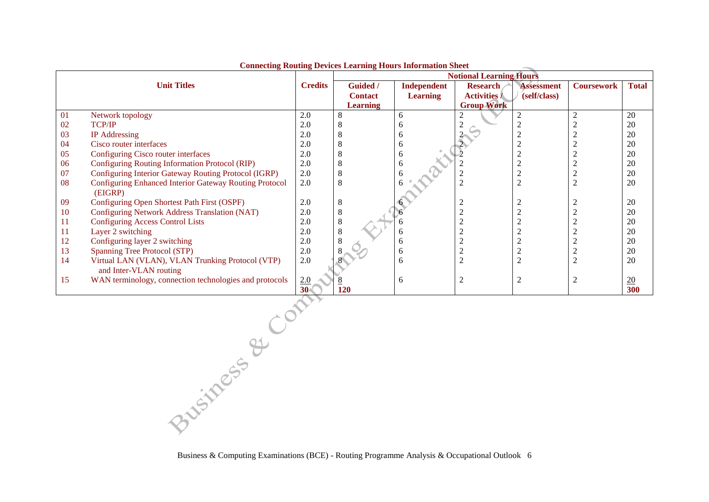|    |                                                        |                | connecting requiring Beviews Beathing requisition matter sheet |                 | <b>Notional Learning Hours</b> |                   |                   |                  |
|----|--------------------------------------------------------|----------------|----------------------------------------------------------------|-----------------|--------------------------------|-------------------|-------------------|------------------|
|    | <b>Unit Titles</b>                                     | <b>Credits</b> | <b>Guided</b> /                                                | Independent     | <b>Research</b>                | <b>Assessment</b> | <b>Coursework</b> | <b>Total</b>     |
|    |                                                        |                | <b>Contact</b>                                                 | <b>Learning</b> | <b>Activities</b> /            | (self/class)      |                   |                  |
|    |                                                        |                | <b>Learning</b>                                                |                 | <b>Group Work</b>              |                   |                   |                  |
| 01 | Network topology                                       | 2.0            |                                                                | 6               |                                |                   |                   | 20               |
| 02 | <b>TCP/IP</b>                                          | 2.0            |                                                                |                 |                                |                   |                   | 20               |
| 03 | IP Addressing                                          | 2.0            |                                                                |                 |                                |                   |                   | 20               |
| 04 | Cisco router interfaces                                | 2.0            |                                                                |                 |                                |                   |                   | 20               |
| 05 | Configuring Cisco router interfaces                    | 2.0            |                                                                | 6               |                                |                   |                   | 20               |
| 06 | Configuring Routing Information Protocol (RIP)         | 2.0            |                                                                |                 |                                |                   |                   | 20               |
| 07 | Configuring Interior Gateway Routing Protocol (IGRP)   | 2.0            |                                                                |                 |                                |                   |                   | 20               |
| 08 | Configuring Enhanced Interior Gateway Routing Protocol | 2.0            |                                                                |                 |                                |                   |                   | 20               |
|    | (EIGRP)                                                |                |                                                                |                 |                                |                   |                   |                  |
| 09 | Configuring Open Shortest Path First (OSPF)            | 2.0            |                                                                |                 |                                |                   |                   | 20               |
| 10 | Configuring Network Address Translation (NAT)          | 2.0            |                                                                |                 |                                |                   |                   | 20               |
| 11 | <b>Configuring Access Control Lists</b>                | 2.0            |                                                                |                 |                                |                   |                   | 20               |
| 11 | Layer 2 switching                                      | 2.0            |                                                                |                 |                                |                   |                   | 20               |
| 12 | Configuring layer 2 switching                          | 2.0            |                                                                |                 |                                |                   |                   | 20               |
| 13 | Spanning Tree Protocol (STP)                           | 2.0            |                                                                | h               |                                |                   |                   | 20               |
| 14 | Virtual LAN (VLAN), VLAN Trunking Protocol (VTP)       | 2.0            |                                                                | 6               | $\overline{2}$                 |                   |                   | 20               |
|    | and Inter-VLAN routing                                 |                |                                                                |                 |                                |                   |                   |                  |
| 15 | WAN terminology, connection technologies and protocols | 2.0            |                                                                | 6               | $\overline{2}$                 |                   | 2                 | $\underline{20}$ |
|    |                                                        | 30             | 120                                                            |                 |                                |                   |                   | 300              |

**Connecting Routing Devices Learning Hours Information Sheet**

Business & Computing Examinations (BCE) - Routing Programme Analysis & Occupational Outlook 6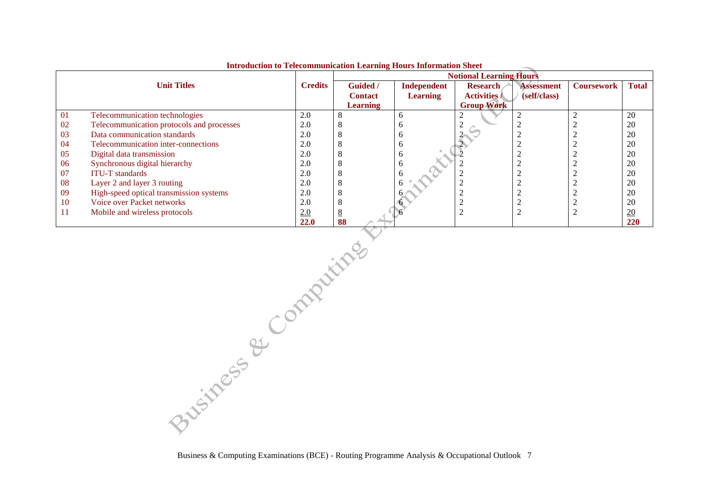|           | mu ouuchon to Telecommunication mearning from 5 milof mation sheet |                |                    |                 | <b>Notional Learning Hours</b> |                   |                   |                  |
|-----------|--------------------------------------------------------------------|----------------|--------------------|-----------------|--------------------------------|-------------------|-------------------|------------------|
|           | <b>Unit Titles</b>                                                 | <b>Credits</b> | <b>Guided</b> /    | Independent     | <b>Research</b>                | <b>Assessment</b> | <b>Coursework</b> | <b>Total</b>     |
|           |                                                                    |                | <b>Contact</b>     | <b>Learning</b> | <b>Activities /</b>            | (self/class)      |                   |                  |
|           |                                                                    |                | <b>Learning</b>    |                 | <b>Group Work</b>              |                   |                   |                  |
| 01        | Telecommunication technologies                                     | 2.0            | Ō                  |                 |                                |                   |                   | 20               |
| 02        | Telecommunication protocols and processes                          | 2.0            |                    |                 |                                |                   |                   | 20               |
| 03        | Data communication standards                                       | 2.0            | ◠                  |                 |                                |                   |                   | 20               |
| -04       | Telecommunication inter-connections                                | 2.0            | Ō                  |                 |                                |                   |                   | 20               |
| 05        | Digital data transmission                                          | 2.0            | ◠                  |                 |                                |                   |                   | 20               |
| 06        | Synchronous digital hierarchy                                      | 2.0            | Λ                  |                 |                                |                   |                   | 20               |
| 07        | <b>ITU-T</b> standards                                             | 2.0            |                    |                 |                                |                   |                   | 20               |
| -08       | Layer 2 and layer 3 routing                                        | 2.0            |                    |                 |                                |                   |                   | 20               |
| -09       | High-speed optical transmission systems                            | 2.0            |                    |                 |                                |                   |                   | 20               |
| <b>10</b> | Voice over Packet networks                                         | 2.0            |                    |                 |                                |                   |                   | 20               |
| -11       | Mobile and wireless protocols                                      | 2.0            | $\overline{\circ}$ |                 |                                |                   |                   | $\underline{20}$ |
|           |                                                                    | <b>22.0</b>    | 88                 |                 |                                |                   |                   | 220              |

#### **Introduction to Telecommunication Learning Hours Information Sheet**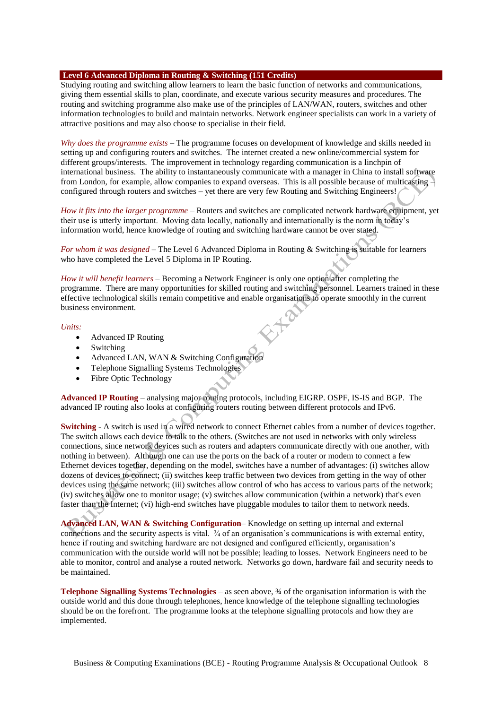#### **Level 6 Advanced Diploma in Routing & Switching (151 Credits)**

Studying routing and switching allow learners to learn the basic function of networks and communications, giving them essential skills to plan, coordinate, and execute various security measures and procedures. The routing and switching programme also make use of the principles of LAN/WAN, routers, switches and other information technologies to build and maintain networks. Network engineer specialists can work in a variety of attractive positions and may also choose to specialise in their field.

*Why does the programme exists* – The programme focuses on development of knowledge and skills needed in setting up and configuring routers and switches. The internet created a new online/commercial system for different groups/interests. The improvement in technology regarding communication is a linchpin of international business. The ability to instantaneously communicate with a manager in China to install software from London, for example, allow companies to expand overseas. This is all possible because of multicasting – configured through routers and switches – yet there are very few Routing and Switching Engineers!

*How it fits into the larger programme* – Routers and switches are complicated network hardware equipment, yet their use is utterly important. Moving data locally, nationally and internationally is the norm in today's information world, hence knowledge of routing and switching hardware cannot be over stated.

*For whom it was designed* – The Level 6 Advanced Diploma in Routing & Switching is suitable for learners who have completed the Level 5 Diploma in IP Routing.

*How it will benefit learners* – Becoming a Network Engineer is only one option after completing the programme. There are many opportunities for skilled routing and switching personnel. Learners trained in these effective technological skills remain competitive and enable organisations to operate smoothly in the current business environment.

#### *Units:*

- Advanced IP Routing
- Switching
- Advanced LAN, WAN & Switching Configuration
- Telephone Signalling Systems Technologies
- Fibre Optic Technology

**Advanced IP Routing** – analysing major routing protocols, including EIGRP. OSPF, IS-IS and BGP. The advanced IP routing also looks at configuring routers routing between different protocols and IPv6.

**Switching** - A switch is used in a wired network to connect Ethernet cables from a number of devices together. The switch allows each device to talk to the others. (Switches are not used in networks with only wireless connections, since network devices such as routers and adapters communicate directly with one another, with nothing in between). Although one can use the ports on the back of a router or modem to connect a few Ethernet devices together, depending on the model, switches have a number of advantages: (i) switches allow dozens of devices to connect; (ii) switches keep traffic between two devices from getting in the way of other devices using the same network; (iii) switches allow control of who has access to various parts of the network; (iv) switches allow one to monitor usage; (v) switches allow communication (within a network) that's even faster than the Internet; (vi) high-end switches have pluggable modules to tailor them to network needs.

**Advanced LAN, WAN & Switching Configuration**– Knowledge on setting up internal and external connections and the security aspects is vital.  $\frac{3}{4}$  of an organisation's communications is with external entity, hence if routing and switching hardware are not designed and configured efficiently, organisation's communication with the outside world will not be possible; leading to losses. Network Engineers need to be able to monitor, control and analyse a routed network. Networks go down, hardware fail and security needs to be maintained.

**Telephone Signalling Systems Technologies** – as seen above, ¾ of the organisation information is with the outside world and this done through telephones, hence knowledge of the telephone signalling technologies should be on the forefront. The programme looks at the telephone signalling protocols and how they are implemented.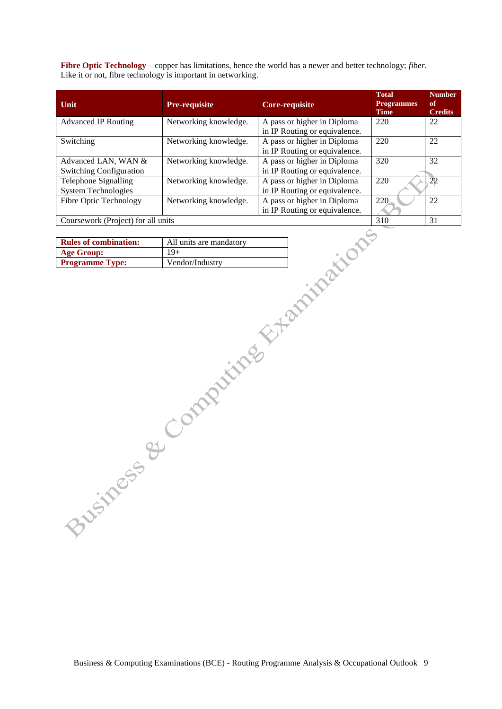**Fibre Optic Technology** – copper has limitations, hence the world has a newer and better technology; *fiber*. Like it or not, fibre technology is important in networking.

| Unit                                                  | <b>Pre-requisite</b>  | Core-requisite                                               | <b>Total</b><br><b>Programmes</b><br><b>Time</b> | <b>Number</b><br>of<br><b>Credits</b> |
|-------------------------------------------------------|-----------------------|--------------------------------------------------------------|--------------------------------------------------|---------------------------------------|
| <b>Advanced IP Routing</b>                            | Networking knowledge. | A pass or higher in Diploma<br>in IP Routing or equivalence. | 220                                              | 22                                    |
| Switching                                             | Networking knowledge. | A pass or higher in Diploma<br>in IP Routing or equivalence. | 220                                              | 22                                    |
| Advanced LAN, WAN &<br><b>Switching Configuration</b> | Networking knowledge. | A pass or higher in Diploma<br>in IP Routing or equivalence. | 320                                              | 32                                    |
| Telephone Signalling<br><b>System Technologies</b>    | Networking knowledge. | A pass or higher in Diploma<br>in IP Routing or equivalence. | 220                                              | 22                                    |
| Fibre Optic Technology                                | Networking knowledge. | A pass or higher in Diploma<br>in IP Routing or equivalence. | 220                                              | 22                                    |
| Coursework (Project) for all units                    |                       |                                                              | 310                                              | 31                                    |

| <b>Rules of combination:</b> | All units are mandatory |
|------------------------------|-------------------------|
| <b>Age Group:</b>            | 19+                     |
| <b>Programme Type:</b>       | Vendor/Industry         |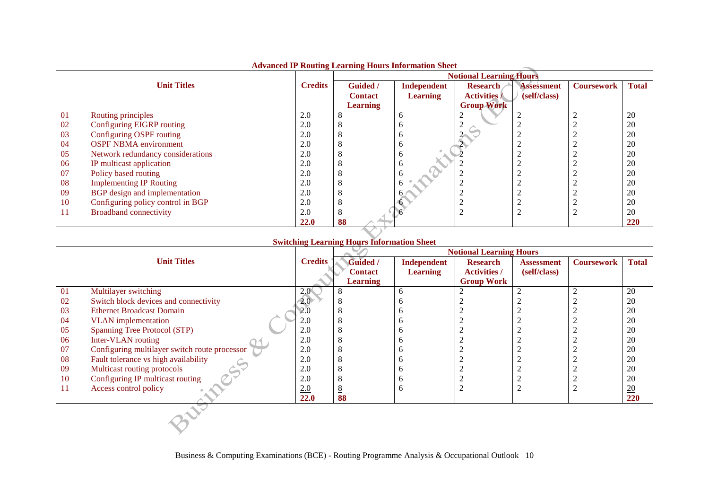|    | <i>n</i> ancea if would bearing from sinormation blice<br><b>Notional Learning Hours</b> |                |                 |                    |                     |                   |                   |                  |
|----|------------------------------------------------------------------------------------------|----------------|-----------------|--------------------|---------------------|-------------------|-------------------|------------------|
|    |                                                                                          |                |                 |                    |                     |                   |                   |                  |
|    | <b>Unit Titles</b>                                                                       | <b>Credits</b> | Guided /        | <b>Independent</b> | <b>Research</b>     | <b>Assessment</b> | <b>Coursework</b> | <b>Total</b>     |
|    |                                                                                          |                | <b>Contact</b>  | <b>Learning</b>    | <b>Activities /</b> | (self/class)      |                   |                  |
|    |                                                                                          |                | <b>Learning</b> |                    | <b>Group Work</b>   |                   |                   |                  |
| 01 | Routing principles                                                                       | 2.0            |                 | n                  |                     |                   |                   | 20               |
| 02 | Configuring EIGRP routing                                                                | 2.0            |                 |                    |                     |                   |                   | 20               |
| 03 | Configuring OSPF routing                                                                 | 2.0            |                 |                    |                     |                   |                   | 20               |
| 04 | <b>OSPF NBMA</b> environment                                                             | 2.0            |                 | n                  |                     |                   |                   | 20               |
| 05 | Network redundancy considerations                                                        | 2.0            |                 |                    |                     |                   |                   | 20               |
| 06 | IP multicast application                                                                 | 2.0            |                 |                    |                     |                   |                   | 20               |
| 07 | Policy based routing                                                                     | 2.0            |                 |                    |                     |                   |                   | 20               |
| 08 | <b>Implementing IP Routing</b>                                                           | 2.0            |                 |                    |                     |                   |                   | 20               |
| 09 | BGP design and implementation                                                            | 2.0            |                 |                    |                     |                   |                   | 20               |
| 10 | Configuring policy control in BGP                                                        | 2.0            |                 |                    |                     |                   |                   | 20               |
| 11 | <b>Broadband connectivity</b>                                                            | 2.0            |                 |                    |                     |                   |                   | $\underline{20}$ |
|    |                                                                                          | 22.0           | 88              |                    |                     |                   |                   | 220              |

## **Advanced IP Routing Learning Hours Information Sheet**

## **Switching Learning Hours Information Sheet**

|     |                                               |                | <b>Notional Learning Hours</b> |                 |                     |                   |                   |              |  |
|-----|-----------------------------------------------|----------------|--------------------------------|-----------------|---------------------|-------------------|-------------------|--------------|--|
|     | <b>Unit Titles</b>                            | <b>Credits</b> | <b>Guided</b> /                | Independent     | <b>Research</b>     | <b>Assessment</b> | <b>Coursework</b> | <b>Total</b> |  |
|     |                                               |                | <b>Contact</b>                 | <b>Learning</b> | <b>Activities /</b> | (self/class)      |                   |              |  |
|     |                                               |                | <b>Learning</b>                |                 | <b>Group Work</b>   |                   |                   |              |  |
| 01  | Multilayer switching                          | 2.0            | 8                              | <sub>0</sub>    |                     |                   |                   | 20           |  |
| 02  | Switch block devices and connectivity         | 2.0            |                                | n               |                     |                   |                   | 20           |  |
| 03  | <b>Ethernet Broadcast Domain</b>              | 2.0            |                                | n               |                     |                   |                   | 20           |  |
| -04 | <b>VLAN</b> implementation                    | 2.0            | O                              | n               |                     |                   |                   | 20           |  |
| 05  | Spanning Tree Protocol (STP)                  | 2.0            |                                | n               |                     |                   |                   | 20           |  |
| 06  | Inter-VLAN routing                            | 2.0            |                                |                 |                     |                   |                   | 20           |  |
| 07  | Configuring multilayer switch route processor | 2.0            |                                | n               |                     |                   |                   | 20           |  |
| 08  | Fault tolerance vs high availability          | 2.0            |                                | n               |                     |                   |                   | 20           |  |
| 09  | Multicast routing protocols                   | 2.0            | ◠                              | n               |                     |                   |                   | 20           |  |
| 10  | Configuring IP multicast routing              | 2.0            |                                |                 |                     |                   |                   | 20           |  |
| -11 | Access control policy                         | 2.0            | <u>8</u>                       | b               | ∠                   |                   |                   | 20           |  |
|     |                                               | 22.0           | 88                             |                 |                     |                   |                   | 220          |  |
|     |                                               |                |                                |                 |                     |                   |                   |              |  |
|     |                                               |                |                                |                 |                     |                   |                   |              |  |
|     |                                               |                |                                |                 |                     |                   |                   |              |  |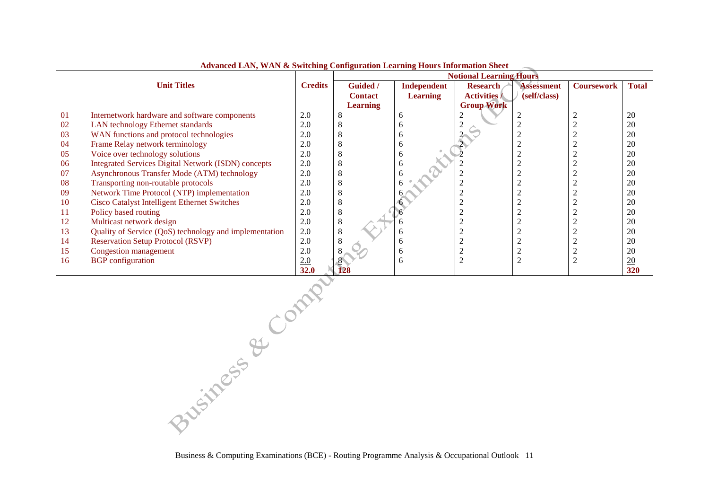|     |                                                            |                |                 |                    | <b>Notional Learning Hours</b> |                   |                   |                 |
|-----|------------------------------------------------------------|----------------|-----------------|--------------------|--------------------------------|-------------------|-------------------|-----------------|
|     | <b>Unit Titles</b>                                         | <b>Credits</b> | <b>Guided</b> / | <b>Independent</b> | <b>Research</b>                | <b>Assessment</b> | <b>Coursework</b> | <b>Total</b>    |
|     |                                                            |                | <b>Contact</b>  | <b>Learning</b>    | <b>Activities /</b>            | (self/class)      |                   |                 |
|     |                                                            |                | <b>Learning</b> |                    | <b>Group Work</b>              |                   |                   |                 |
| 01  | Internetwork hardware and software components              | 2.0            |                 | h                  |                                |                   |                   | 20              |
| 02  | <b>LAN</b> technology Ethernet standards                   | 2.0            |                 |                    |                                |                   |                   | 20              |
| 03  | WAN functions and protocol technologies                    | 2.0            |                 |                    |                                |                   |                   | 20              |
| 04  | Frame Relay network terminology                            | 2.0            |                 |                    |                                |                   |                   | 20              |
| 05  | Voice over technology solutions                            | 2.0            |                 | h                  |                                |                   |                   | 20              |
| 06  | <b>Integrated Services Digital Network (ISDN) concepts</b> | 2.0            |                 |                    |                                |                   |                   | 20              |
| 07  | Asynchronous Transfer Mode (ATM) technology                | 2.0            |                 |                    |                                |                   |                   | 20              |
| 08  | Transporting non-routable protocols                        | 2.0            |                 |                    |                                |                   |                   | 20              |
| -09 | Network Time Protocol (NTP) implementation                 | 2.0            |                 |                    |                                |                   |                   | 20              |
| 10  | <b>Cisco Catalyst Intelligent Ethernet Switches</b>        | 2.0            |                 |                    |                                |                   |                   | 20              |
| 11  | Policy based routing                                       | 2.0            |                 |                    |                                |                   |                   | 20              |
| 12  | Multicast network design                                   | 2.0            | ð               |                    |                                |                   |                   | 20              |
| 13  | Quality of Service (QoS) technology and implementation     | 2.0            |                 | n                  |                                |                   |                   | 20              |
| 14  | <b>Reservation Setup Protocol (RSVP)</b>                   | 2.0            |                 |                    |                                |                   |                   | 20              |
| 15  | Congestion management                                      | 2.0            |                 | n                  |                                |                   |                   | 20              |
| 16  | <b>BGP</b> configuration                                   | 2.0            |                 | n                  |                                |                   |                   | $\overline{20}$ |
|     |                                                            | 32.0           |                 |                    |                                |                   |                   | 320             |

**Advanced LAN, WAN & Switching Configuration Learning Hours Information Sheet**